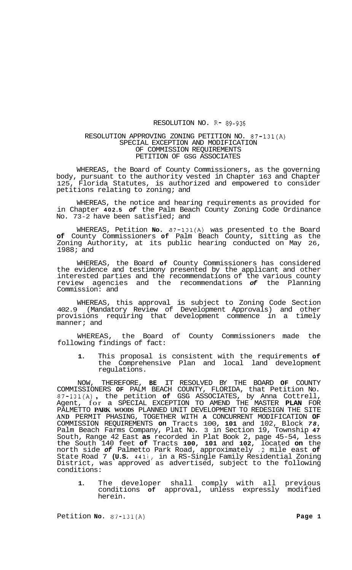## RESOLUTION NO. R-89-935

## RESOLUTION APPROVING ZONING PETITION NO. 87-131(A) SPECIAL EXCEPTION AND MODIFICATION OF COMMISSION REQUIREMENTS PETITION OF GSG ASSOCIATES

WHEREAS, the Board of County Commissioners, as the governing body, pursuant to the authority vested in Chapter 163 and Chapter 125, Florida Statutes, is authorized and empowered to consider petitions relating to zoning; and

WHEREAS, the notice and hearing requirements as provided for in Chapter **402.5** *of* the Palm Beach County Zoning Code Ordinance No. 73-2 have been satisfied; and

WHEREAS, Petition **No.** 87-131(A) was presented to the Board **of** County Commissioners **of** Palm Beach County, sitting as the Zoning Authority, at its public hearing conducted on May 26, 1988; and

WHEREAS, the Board **of** County Commissioners has considered the evidence and testimony presented by the applicant and other interested parties and the recommendations of the various county review agencies and the recommendations *of* the Planning Commission: and

WHEREAS, this approval is subject to Zoning Code Section 402.9 (Mandatory Review of Development Approvals) and other provisions requiring that development commence in a timely manner; and

WHEREAS, the Board of County Commissioners made the following findings of fact:

**1.** This proposal is consistent with the requirements **of**  the Comprehensive Plan and local land development regulations.

NOW, THEREFORE, **BE** IT RESOLVED BY THE BOARD **OF** COUNTY COMMISSIONERS **OF** PALM BEACH COUNTY, FLORIDA, that Petition No. 87-131(A) , the petition **of** GSG ASSOCIATES, by Anna Cottrell, Agent, for a SPECIAL EXCEPTION TO AMEND THE MASTER **PLAN** FOR PALMETTO **PARK WOODS** PLANNED UNIT DEVELOPMENT TO REDESIGN THE SITE **AND** PERMIT PHASING, TOGETHER WITH **A** CONCURRENT MODIFICATION **OF**  COMMISSION REQUIREMENTS **on** Tracts 100, **101** and 102, Block *78,*  Palm Beach Farms Company, Plat No. 3 in Section 19, Township **47**  South, Range 42 East **as** recorded in Plat Book 2, page 45-54, less the South 140 feet **of** Tracts **100, 101** and **102,** located **on** the north side *of* Palmetto Park Road, approximately **.2** mile east **of**  State Road 7 **(U.S.** 441), in a RS-Single Family Residential Zoning District, was approved as advertised, subject to the following conditions:

**1.** The developer shall comply with all previous conditions **of** approval, unless expressly modified herein.

Petition **No.** 87-131(A) **Page 1**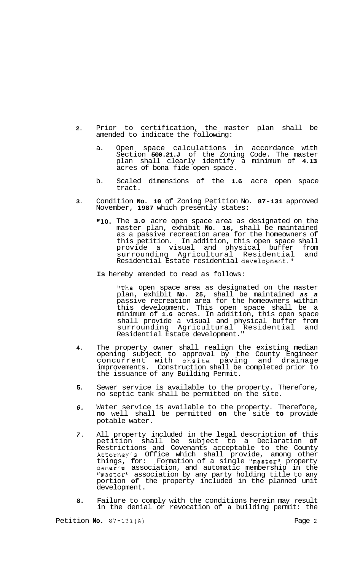- **2.**  Prior to certification, the master plan shall be amended to indicate the following:
	- a. Open space calculations in accordance with Section **500.21.J** of the Zoning Code. The master plan shall clearly identify a minimum of **4.13**  acres of bona fide open space.
	- b. Scaled dimensions of the **1.6** acre open space tract.
- **3.**  Condition **No. 10** of Zoning Petition No. **87-131** approved November, **1987** which presently states:
	- **"10.** The **3.0** acre open space area as designated on the master plan, exhibit **No. 18,** shall be maintained as a passive recreation area for the homeowners of this petition. In addition, this open space shall provide a visual and physical buffer from<br>surrounding Agricultural Residential and surrounding Agricultural Residential Residential Estate residential development."
	- **Is** hereby amended to read as follows:

"The open space area as designated on the master plan, exhibit **No. 25,** shall be maintained *as a*  passive recreation area for the homeowners within this development. This open space shall be a minimum of **1.6** acres. In addition, this open space shall provide a visual and physical buffer from surrounding Agricultural Residential and Residential Estate development."

- **4.**  The property owner shall realign the existing median opening subject to approval by the County Engineer concurrent with onsite paving and drainage improvements. Construction shall be completed prior to the issuance of any Building Permit.
- **5.**  Sewer service is available to the property. Therefore, no septic tank shall be permitted on the site.
- *6.*  Water service is available to the property. Therefore, **no** well shall be permitted **on** the site **to** provide potable water.
- *7.*  All property included in the legal description **of** this petition shall be subject to a Declaration **of**  Restrictions and Covenants acceptable to the County Attorney's Office which shall provide, among other things, for: Formation of a single "master" property owner's association, and automatic membership in the "master" association by any party holding title to any portion **of** the property included in the planned unit development.
- **8.**  Failure to comply with the conditions herein may result in the denial or revocation of a building permit: the